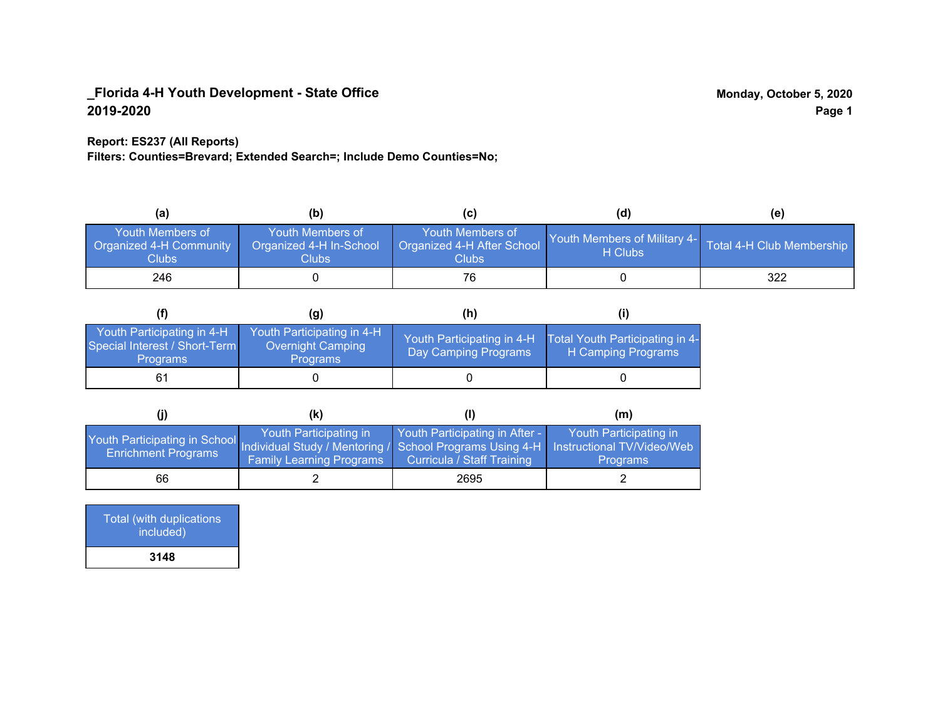### **Report: ES237 (All Reports)**

**Filters: Counties=Brevard; Extended Search=; Include Demo Counties=No;**

| (a                                                          | (b)                                                         | (C)                                                       | (d)                                      | (e)                       |
|-------------------------------------------------------------|-------------------------------------------------------------|-----------------------------------------------------------|------------------------------------------|---------------------------|
| Youth Members of<br>Organized 4-H Community<br><b>Clubs</b> | Youth Members of<br>Organized 4-H In-School<br><b>Clubs</b> | Youth Members of<br>Organized 4-H After School<br>Clubs : | Youth Members of Military 4-1<br>H Clubs | Total 4-H Club Membership |
| 246                                                         |                                                             |                                                           |                                          | 322                       |

|                                                                                | (g)                                                                | (h)                                                |                                                       |
|--------------------------------------------------------------------------------|--------------------------------------------------------------------|----------------------------------------------------|-------------------------------------------------------|
| Youth Participating in 4-H<br>Special Interest / Short-Term<br><b>Programs</b> | Youth Participating in 4-H<br>Overnight Camping<br><b>Programs</b> | Youth Participating in 4-H<br>Day Camping Programs | Total Youth Participating in 4-<br>H Camping Programs |
|                                                                                |                                                                    |                                                    |                                                       |

|                                                                                                                                                 | (k)                                                       |                                                              | (m)                                       |
|-------------------------------------------------------------------------------------------------------------------------------------------------|-----------------------------------------------------------|--------------------------------------------------------------|-------------------------------------------|
| Youth Participating in School Individual Study / Mentoring / School Programs Using 4-H Instructional TV/Video/Web<br><b>Enrichment Programs</b> | Youth Participating in<br><b>Family Learning Programs</b> | Youth Participating in After -<br>Curricula / Staff Training | Youth Participating in<br><b>Programs</b> |
| 66                                                                                                                                              |                                                           | 2695                                                         |                                           |

| Total (with duplications<br>included) |
|---------------------------------------|
| 3148                                  |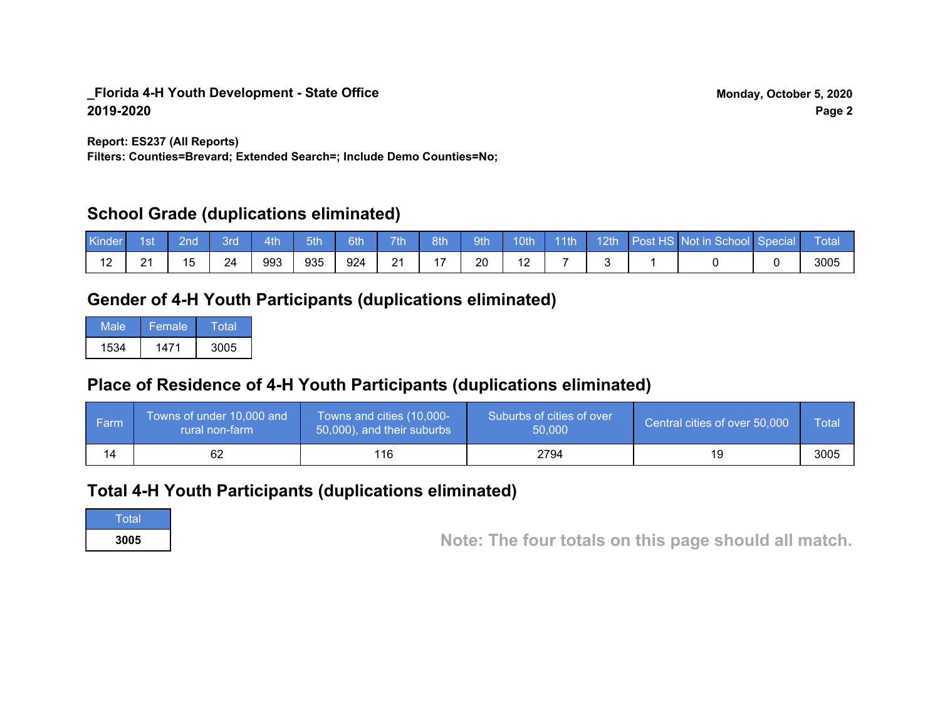**Report: ES237 (All Reports)**

**Filters: Counties=Brevard; Extended Search=; Include Demo Counties=No;**

## **School Grade (duplications eliminated)**

| Kinder | 1st              | 2nd            | Brd | 4th | 5th | 6th | 7th                  | 8th | 9th <sup>1</sup> | 10th | $-11$ th | 12th | Post HS Not in School Special | Total |
|--------|------------------|----------------|-----|-----|-----|-----|----------------------|-----|------------------|------|----------|------|-------------------------------|-------|
|        | ົາ 1<br><u>_</u> | 1 <sub>5</sub> | 24  | 993 | 935 | 924 | $\Omega$<br><u>L</u> |     | 20               |      |          |      |                               | 3005  |

# **Gender of 4-H Youth Participants (duplications eliminated)**

| Male | Female | Total |
|------|--------|-------|
| 1534 | 1471   | 3005  |

# **Place of Residence of 4-H Youth Participants (duplications eliminated)**

| ∣ Farm | Towns of under 10,000 and<br>rural non-farm | Towns and cities (10,000-<br>50,000), and their suburbs | Suburbs of cities of over<br>50,000 | Central cities of over 50,000 | Total |
|--------|---------------------------------------------|---------------------------------------------------------|-------------------------------------|-------------------------------|-------|
|        |                                             | 116.                                                    | 2794                                | 19                            | 3005  |

## **Total 4-H Youth Participants (duplications eliminated)**

**Total** 

**<sup>3005</sup> Note: The four totals on this page should all match.**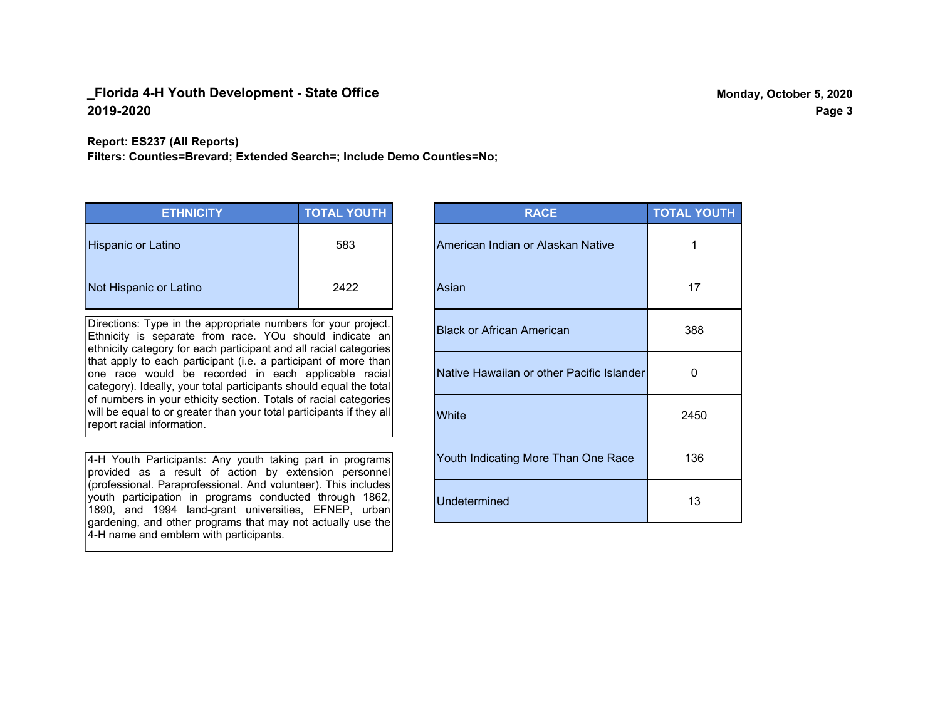**Report: ES237 (All Reports)**

**Filters: Counties=Brevard; Extended Search=; Include Demo Counties=No;**

| <b>ETHNICITY</b>          | <b>TOTAL YOUTH</b> |
|---------------------------|--------------------|
| <b>Hispanic or Latino</b> | 583                |
| Not Hispanic or Latino    | 2422               |

Directions: Type in the appropriate numbers for your project. Ethnicity is separate from race. YOu should indicate an ethnicity category for each participant and all racial categories that apply to each participant (i.e. a participant of more than one race would be recorded in each applicable racial category). Ideally, your total participants should equal the total of numbers in your ethicity section. Totals of racial categories will be equal to or greater than your total participants if they all report racial information.

4-H Youth Participants: Any youth taking part in programs provided as a result of action by extension personnel (professional. Paraprofessional. And volunteer). This includes youth participation in programs conducted through 1862, 1890, and 1994 land-grant universities, EFNEP, urban gardening, and other programs that may not actually use the 4-H name and emblem with participants.

| <b>RACE</b>                               | <b>TOTAL YOUTH</b> |
|-------------------------------------------|--------------------|
| American Indian or Alaskan Native         | 1                  |
| Asian                                     | 17                 |
| <b>Black or African American</b>          | 388                |
| Native Hawaiian or other Pacific Islander | 0                  |
| White                                     | 2450               |
| Youth Indicating More Than One Race       | 136                |
| <b>Undetermined</b>                       | 13                 |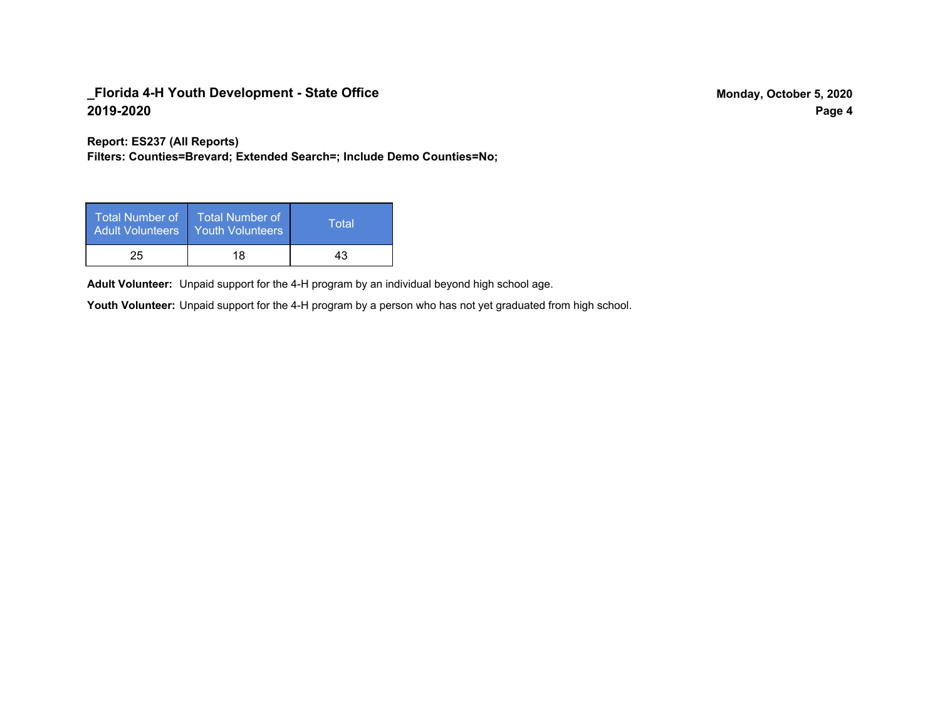**Report: ES237 (All Reports)**

**Filters: Counties=Brevard; Extended Search=; Include Demo Counties=No;**

| Total Number of<br><b>Adult Volunteers</b> | <b>Total Number of</b><br><b>Youth Volunteers</b> | Total |
|--------------------------------------------|---------------------------------------------------|-------|
| 25                                         | 18                                                | 43    |

Adult Volunteer: Unpaid support for the 4-H program by an individual beyond high school age.

Youth Volunteer: Unpaid support for the 4-H program by a person who has not yet graduated from high school.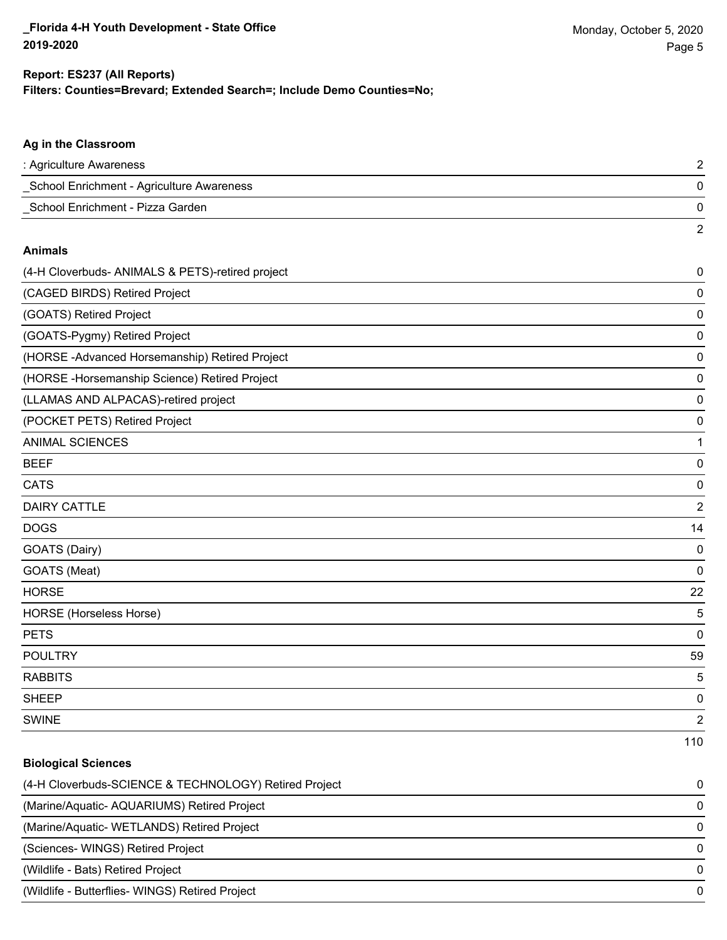### **Filters: Counties=Brevard; Extended Search=; Include Demo Counties=No; Report: ES237 (All Reports)**

# **Ag in the Classroom** : Agriculture Awareness 2 \_School Enrichment - Agriculture Awareness 0 \_School Enrichment - Pizza Garden 0 2 **Animals** (4-H Cloverbuds- ANIMALS & PETS)-retired project 0 (CAGED BIRDS) Retired Project 0 (GOATS) Retired Project 0 (GOATS-Pygmy) Retired Project 0 (HORSE -Advanced Horsemanship) Retired Project 0 (HORSE -Horsemanship Science) Retired Project 0 (LLAMAS AND ALPACAS)-retired project 0 (POCKET PETS) Retired Project 0 ANIMAL SCIENCES **1** BEEF 0 CATS 0 DAIRY CATTLE 2 do de la constitución de la constitución de la constitución de la constitución de la constitución de la constitución de la constitución de la constitución de la constitución de la constitución de la constitución de la cons GOATS (Dairy) 0 GOATS (Meat) 0 HORSE 22 HORSE (Horseless Horse) 5 PETS 0 POULTRY 59 RABBITS 5

SWINE 22 and 22 and 23 and 23 and 23 and 23 and 23 and 23 and 23 and 23 and 24 and 25 and 26 and 26 and 26 and 26 and 26 and 26 and 26 and 26 and 26 and 26 and 26 and 26 and 26 and 26 and 26 and 26 and 26 and 26 and 26 and 110

# **Biological Sciences** (4-H Cloverbuds-SCIENCE & TECHNOLOGY) Retired Project 0 (Marine/Aquatic- AQUARIUMS) Retired Project 0 (Marine/Aquatic- WETLANDS) Retired Project 0 (Sciences- WINGS) Retired Project 0 (Wildlife - Bats) Retired Project 0 (Wildlife - Butterflies- WINGS) Retired Project 0

sheep to the control of the control of the control of the control of the control of the control of the control of the control of the control of the control of the control of the control of the control of the control of the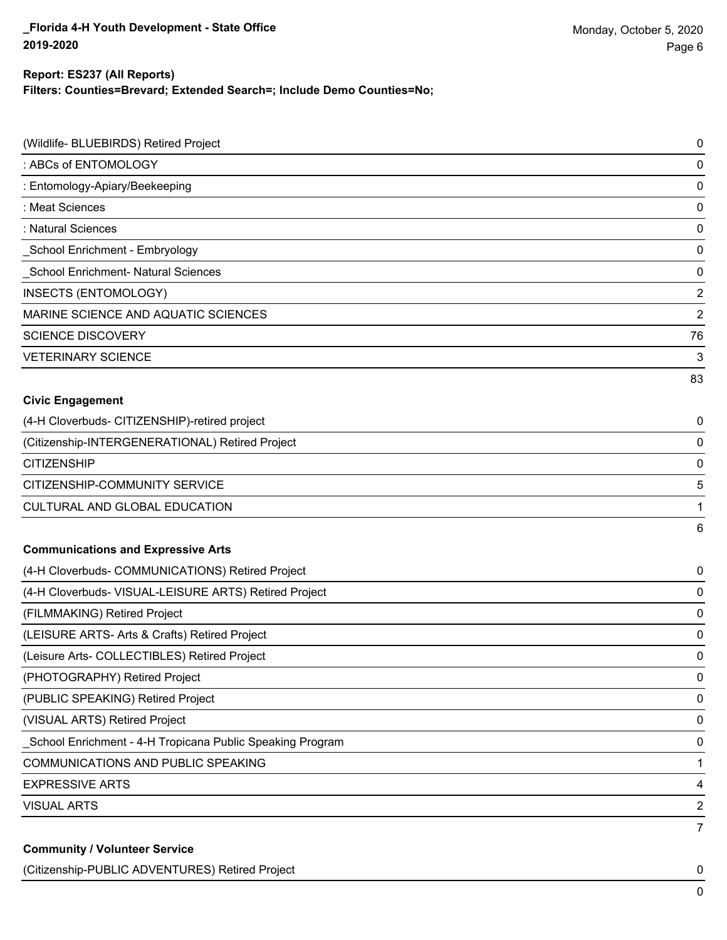### **Report: ES237 (All Reports)**

**Filters: Counties=Brevard; Extended Search=; Include Demo Counties=No;**

| (Wildlife- BLUEBIRDS) Retired Project                     | $\pmb{0}$               |
|-----------------------------------------------------------|-------------------------|
| : ABCs of ENTOMOLOGY                                      | $\mathbf 0$             |
| : Entomology-Apiary/Beekeeping                            | $\mathbf 0$             |
| : Meat Sciences                                           | $\mathbf 0$             |
| : Natural Sciences                                        | $\pmb{0}$               |
| School Enrichment - Embryology                            | 0                       |
| School Enrichment- Natural Sciences                       | $\pmb{0}$               |
| INSECTS (ENTOMOLOGY)                                      | $\overline{2}$          |
| MARINE SCIENCE AND AQUATIC SCIENCES                       | $\overline{2}$          |
| <b>SCIENCE DISCOVERY</b>                                  | 76                      |
| <b>VETERINARY SCIENCE</b>                                 | 3                       |
|                                                           | 83                      |
| <b>Civic Engagement</b>                                   |                         |
| (4-H Cloverbuds- CITIZENSHIP)-retired project             | 0                       |
| (Citizenship-INTERGENERATIONAL) Retired Project           | 0                       |
| <b>CITIZENSHIP</b>                                        | 0                       |
| CITIZENSHIP-COMMUNITY SERVICE                             | 5                       |
| CULTURAL AND GLOBAL EDUCATION                             | 1                       |
|                                                           | 6                       |
| <b>Communications and Expressive Arts</b>                 |                         |
| (4-H Cloverbuds- COMMUNICATIONS) Retired Project          | 0                       |
| (4-H Cloverbuds- VISUAL-LEISURE ARTS) Retired Project     | 0                       |
| (FILMMAKING) Retired Project                              | $\mathbf 0$             |
| (LEISURE ARTS- Arts & Crafts) Retired Project             | 0                       |
| (Leisure Arts- COLLECTIBLES) Retired Project              | 0                       |
| (PHOTOGRAPHY) Retired Project                             | 0                       |
| (PUBLIC SPEAKING) Retired Project                         | 0                       |
| (VISUAL ARTS) Retired Project                             | 0                       |
| School Enrichment - 4-H Tropicana Public Speaking Program | $\mathbf 0$             |
| COMMUNICATIONS AND PUBLIC SPEAKING                        | 1                       |
| <b>EXPRESSIVE ARTS</b>                                    | $\overline{\mathbf{4}}$ |
| <b>VISUAL ARTS</b>                                        | $\overline{2}$          |
| <b>Community / Volunteer Service</b>                      | $\overline{7}$          |

(Citizenship-PUBLIC ADVENTURES) Retired Project 0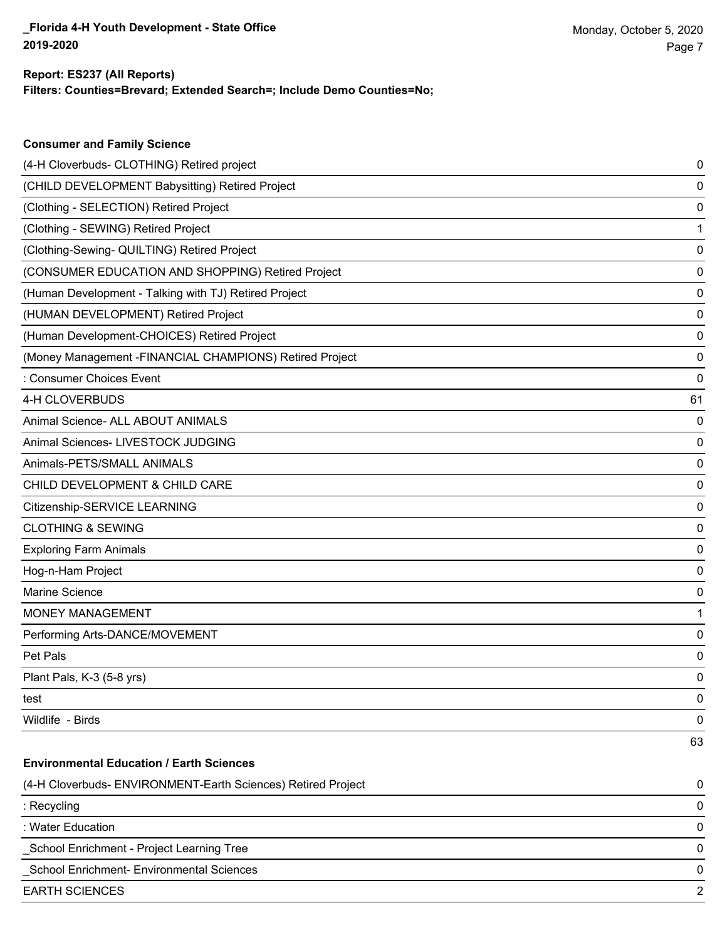**Consumer and Family Science**

### **Filters: Counties=Brevard; Extended Search=; Include Demo Counties=No; Report: ES237 (All Reports)**

| (4-H Cloverbuds- CLOTHING) Retired project                   | 0  |
|--------------------------------------------------------------|----|
| (CHILD DEVELOPMENT Babysitting) Retired Project              | 0  |
| (Clothing - SELECTION) Retired Project                       | 0  |
| (Clothing - SEWING) Retired Project                          | 1  |
| (Clothing-Sewing- QUILTING) Retired Project                  | 0  |
| (CONSUMER EDUCATION AND SHOPPING) Retired Project            | 0  |
| (Human Development - Talking with TJ) Retired Project        | 0  |
| (HUMAN DEVELOPMENT) Retired Project                          | 0  |
| (Human Development-CHOICES) Retired Project                  | 0  |
| (Money Management - FINANCIAL CHAMPIONS) Retired Project     | 0  |
| : Consumer Choices Event                                     | 0  |
| 4-H CLOVERBUDS                                               | 61 |
| Animal Science- ALL ABOUT ANIMALS                            | 0  |
| Animal Sciences- LIVESTOCK JUDGING                           | 0  |
| Animals-PETS/SMALL ANIMALS                                   | 0  |
| CHILD DEVELOPMENT & CHILD CARE                               | 0  |
| Citizenship-SERVICE LEARNING                                 | 0  |
| <b>CLOTHING &amp; SEWING</b>                                 | 0  |
| <b>Exploring Farm Animals</b>                                | 0  |
| Hog-n-Ham Project                                            | 0  |
| Marine Science                                               | 0  |
| <b>MONEY MANAGEMENT</b>                                      | 1  |
| Performing Arts-DANCE/MOVEMENT                               | 0  |
| Pet Pals                                                     | 0  |
| Plant Pals, K-3 (5-8 yrs)                                    | 0  |
| test                                                         | 0  |
| Wildlife - Birds                                             | 0  |
|                                                              | 63 |
| <b>Environmental Education / Earth Sciences</b>              |    |
| (4-H Cloverbuds- ENVIRONMENT-Earth Sciences) Retired Project | 0  |
| : Recycling                                                  | 0  |
| : Water Education                                            | 0  |
| School Enrichment - Project Learning Tree                    | 0  |
| School Enrichment- Environmental Sciences                    | 0  |
| <b>EARTH SCIENCES</b>                                        | 2  |
|                                                              |    |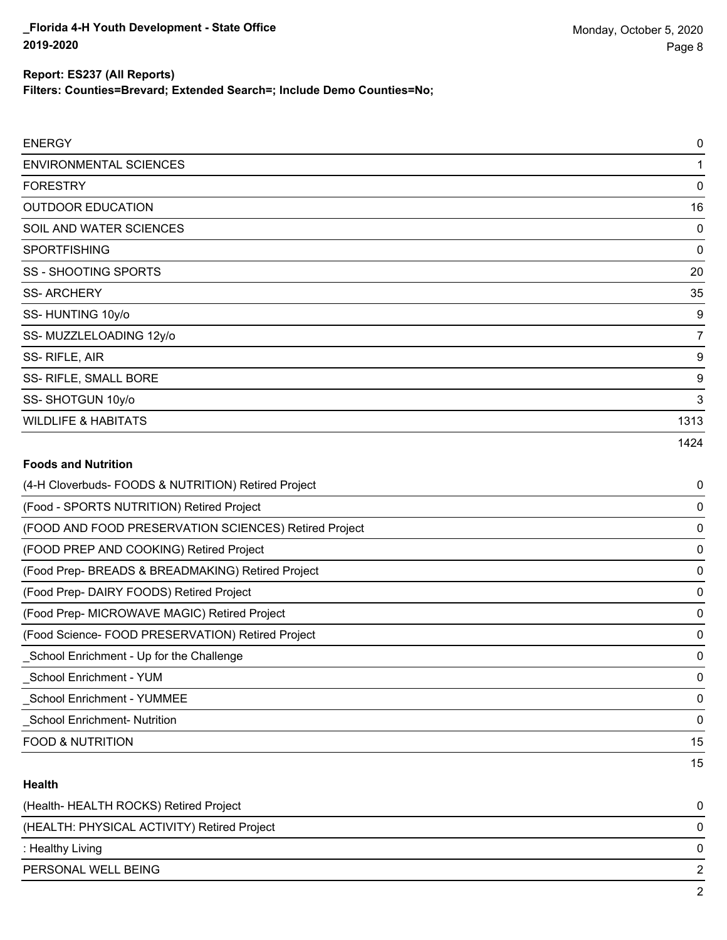**Filters: Counties=Brevard; Extended Search=; Include Demo Counties=No;**

| <b>ENERGY</b>                  | $\pmb{0}$   |
|--------------------------------|-------------|
| <b>ENVIRONMENTAL SCIENCES</b>  | 1           |
| <b>FORESTRY</b>                | $\mathbf 0$ |
| <b>OUTDOOR EDUCATION</b>       | 16          |
| SOIL AND WATER SCIENCES        | 0           |
| <b>SPORTFISHING</b>            | $\mathbf 0$ |
| SS - SHOOTING SPORTS           | 20          |
| <b>SS-ARCHERY</b>              | 35          |
| SS-HUNTING 10y/o               | 9           |
| SS-MUZZLELOADING 12y/o         | 7           |
| SS-RIFLE, AIR                  | 9           |
| SS- RIFLE, SMALL BORE          | 9           |
| SS-SHOTGUN 10y/o               | 3           |
| <b>WILDLIFE &amp; HABITATS</b> | 1313        |
|                                | 1424        |

## **Foods and Nutrition**

| (4-H Cloverbuds- FOODS & NUTRITION) Retired Project   | 0  |
|-------------------------------------------------------|----|
| (Food - SPORTS NUTRITION) Retired Project             | 0  |
| (FOOD AND FOOD PRESERVATION SCIENCES) Retired Project | 0  |
| (FOOD PREP AND COOKING) Retired Project               | 0  |
| (Food Prep- BREADS & BREADMAKING) Retired Project     | 0  |
| (Food Prep- DAIRY FOODS) Retired Project              | 0  |
| (Food Prep- MICROWAVE MAGIC) Retired Project          | 0  |
| (Food Science- FOOD PRESERVATION) Retired Project     | 0  |
| _School Enrichment - Up for the Challenge             | 0  |
| School Enrichment - YUM                               | 0  |
| <b>School Enrichment - YUMMEE</b>                     | 0  |
| <b>School Enrichment- Nutrition</b>                   | 0  |
| <b>FOOD &amp; NUTRITION</b>                           | 15 |
|                                                       | 15 |

### **Health**

| (Health- HEALTH ROCKS) Retired Project      | 0 |
|---------------------------------------------|---|
| (HEALTH: PHYSICAL ACTIVITY) Retired Project | 0 |
| : Healthy Living                            | 0 |
| PERSONAL WELL BEING                         |   |
|                                             | ົ |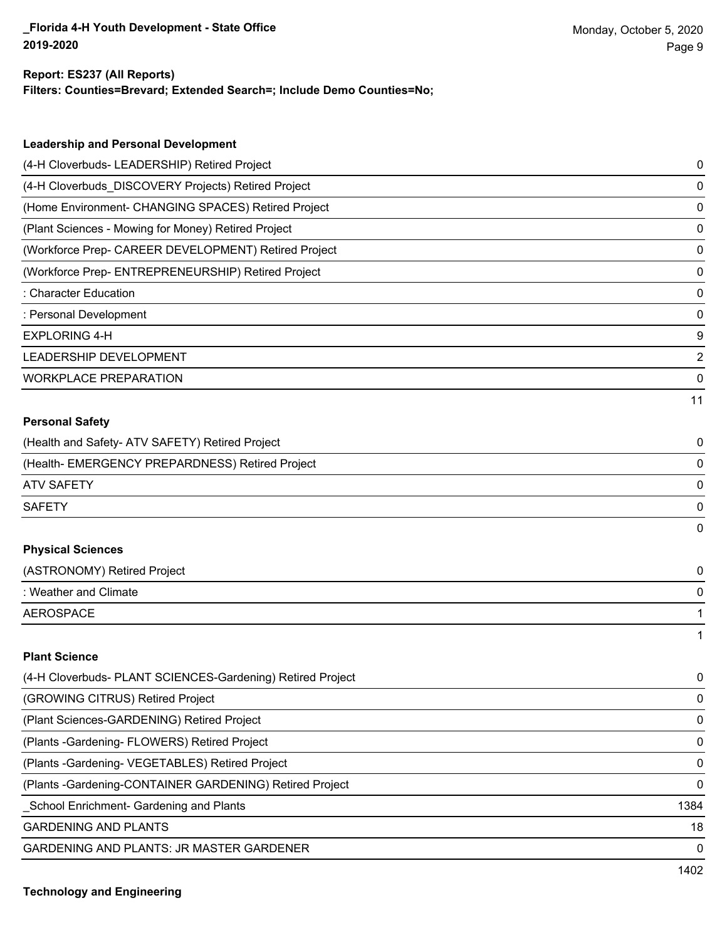#### **Report: ES237 (All Reports)**

**Filters: Counties=Brevard; Extended Search=; Include Demo Counties=No;**

| <b>Leadership and Personal Development</b>                 |                |
|------------------------------------------------------------|----------------|
| (4-H Cloverbuds- LEADERSHIP) Retired Project               | 0              |
| (4-H Cloverbuds_DISCOVERY Projects) Retired Project        | 0              |
| (Home Environment- CHANGING SPACES) Retired Project        | 0              |
| (Plant Sciences - Mowing for Money) Retired Project        | 0              |
| (Workforce Prep- CAREER DEVELOPMENT) Retired Project       | 0              |
| (Workforce Prep- ENTREPRENEURSHIP) Retired Project         | 0              |
| : Character Education                                      | 0              |
| : Personal Development                                     | 0              |
| <b>EXPLORING 4-H</b>                                       | 9              |
| LEADERSHIP DEVELOPMENT                                     | $\overline{2}$ |
| <b>WORKPLACE PREPARATION</b>                               | 0              |
|                                                            | 11             |
| <b>Personal Safety</b>                                     |                |
| (Health and Safety- ATV SAFETY) Retired Project            | 0              |
| (Health- EMERGENCY PREPARDNESS) Retired Project            | 0              |
| <b>ATV SAFETY</b>                                          | 0              |
| <b>SAFETY</b>                                              | 0              |
|                                                            | 0              |
| <b>Physical Sciences</b>                                   |                |
| (ASTRONOMY) Retired Project                                | 0              |
| : Weather and Climate                                      | 0              |
| <b>AEROSPACE</b>                                           | 1              |
|                                                            | 1              |
| <b>Plant Science</b>                                       |                |
| (4-H Cloverbuds- PLANT SCIENCES-Gardening) Retired Project | 0              |
| (GROWING CITRUS) Retired Project                           | 0              |
| (Plant Sciences-GARDENING) Retired Project                 | 0              |
| (Plants - Gardening - FLOWERS) Retired Project             | 0              |
| (Plants - Gardening - VEGETABLES) Retired Project          | 0              |

(Plants -Gardening-CONTAINER GARDENING) Retired Project 0

\_School Enrichment- Gardening and Plants 1384

GARDENING AND PLANTS 18

GARDENING AND PLANTS: JR MASTER GARDENER 0